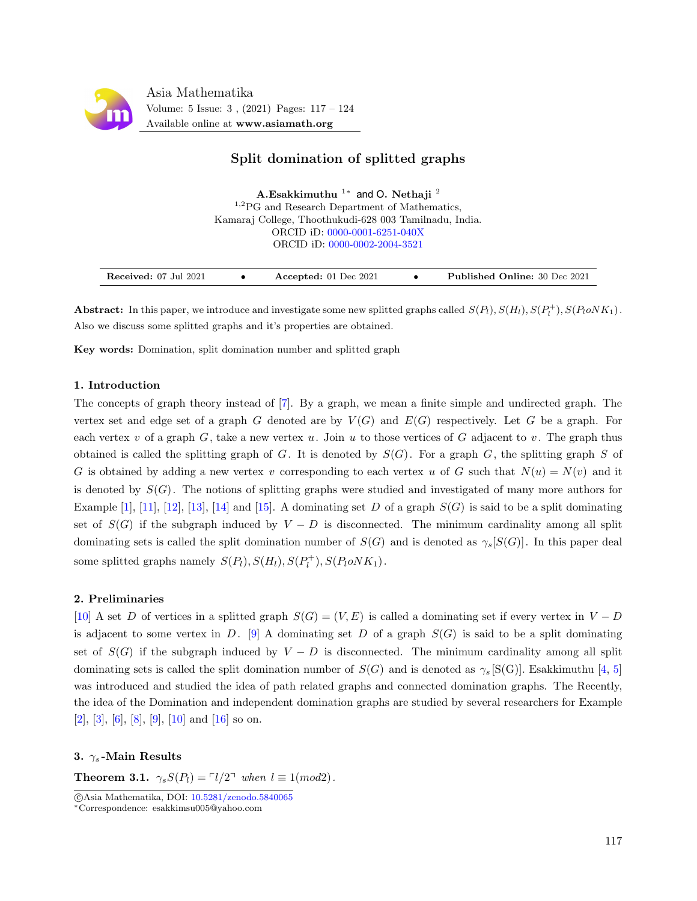

## Split domination of splitted graphs

Kamaraj College, Thoothukudi-628 003 Tamilnadu, India. ORCID iD: [0000-0001-6251-040X](https://orcid.org/0000-0001-6251-040X) ORCID iD: [0000-0002-2004-3521](https://orcid.org/0000-0002-2004-3521) A. $\mathrm{Esakkimuthu}^{-1\ast}$  and O. Nethaji  $^2$ <sup>1,2</sup>PG and Research Department of Mathematics,

Abstract: In this paper, we introduce and investigate some new splitted graphs called  $S(P_l)$ ,  $S(H_l)$ ,  $S(P_l^+)$ ,  $S(P_l o NK_1)$ . Also we discuss some splitted graphs and it's properties are obtained.

Key words: Domination, split domination number and splitted graph

#### 1. Introduction

The concepts of graph theory instead of [\[7\]](#page-7-0). By a graph, we mean a finite simple and undirected graph. The vertex set and edge set of a graph G denoted are by  $V(G)$  and  $E(G)$  respectively. Let G be a graph. For each vertex v of a graph  $G$ , take a new vertex u. Join u to those vertices of G adjacent to v. The graph thus obtained is called the splitting graph of G. It is denoted by  $S(G)$ . For a graph G, the splitting graph S of G is obtained by adding a new vertex v corresponding to each vertex u of G such that  $N(u) = N(v)$  and it is denoted by  $S(G)$ . The notions of splitting graphs were studied and investigated of many more authors for Example  $[1], [11], [12], [13], [14]$  $[1], [11], [12], [13], [14]$  $[1], [11], [12], [13], [14]$  $[1], [11], [12], [13], [14]$  $[1], [11], [12], [13], [14]$  $[1], [11], [12], [13], [14]$  $[1], [11], [12], [13], [14]$  $[1], [11], [12], [13], [14]$  $[1], [11], [12], [13], [14]$  and  $[15]$ . A dominating set D of a graph  $S(G)$  is said to be a split dominating set of  $S(G)$  if the subgraph induced by  $V - D$  is disconnected. The minimum cardinality among all split dominating sets is called the split domination number of  $S(G)$  and is denoted as  $\gamma_s[S(G)]$ . In this paper deal some splitted graphs namely  $S(P_l), S(H_l), S(P_l^+), S(P_l o N K_1)$ .

#### 2. Preliminaries

[\[10\]](#page-7-6) A set D of vertices in a splitted graph  $S(G) = (V, E)$  is called a dominating set if every vertex in  $V - D$ is adjacent to some vertex in D. [\[9\]](#page-7-7) A dominating set D of a graph  $S(G)$  is said to be a split dominating set of  $S(G)$  if the subgraph induced by  $V - D$  is disconnected. The minimum cardinality among all split dominating sets is called the split domination number of  $S(G)$  and is denoted as  $\gamma_s$  [S(G)]. Esakkimuthu [\[4,](#page-7-8) [5\]](#page-7-9) was introduced and studied the idea of path related graphs and connected domination graphs. The Recently, the idea of the Domination and independent domination graphs are studied by several researchers for Example  $[2], [3], [6], [8], [9], [10]$  $[2], [3], [6], [8], [9], [10]$  $[2], [3], [6], [8], [9], [10]$  $[2], [3], [6], [8], [9], [10]$  $[2], [3], [6], [8], [9], [10]$  $[2], [3], [6], [8], [9], [10]$  $[2], [3], [6], [8], [9], [10]$  $[2], [3], [6], [8], [9], [10]$  $[2], [3], [6], [8], [9], [10]$  $[2], [3], [6], [8], [9], [10]$  $[2], [3], [6], [8], [9], [10]$  and  $[16]$  so on.

#### 3.  $\gamma_s$ -Main Results

**Theorem 3.1.**  $\gamma_s S(P_l) = \lceil l/2 \rceil$  when  $l \equiv 1 \pmod{2}$ .

c Asia Mathematika, DOI: [10.5281/zenodo.5840065](http://www.asiamath.org/article/vol5iss3/AM-2112-3005.pdf)

<sup>∗</sup>Correspondence: esakkimsu005@yahoo.com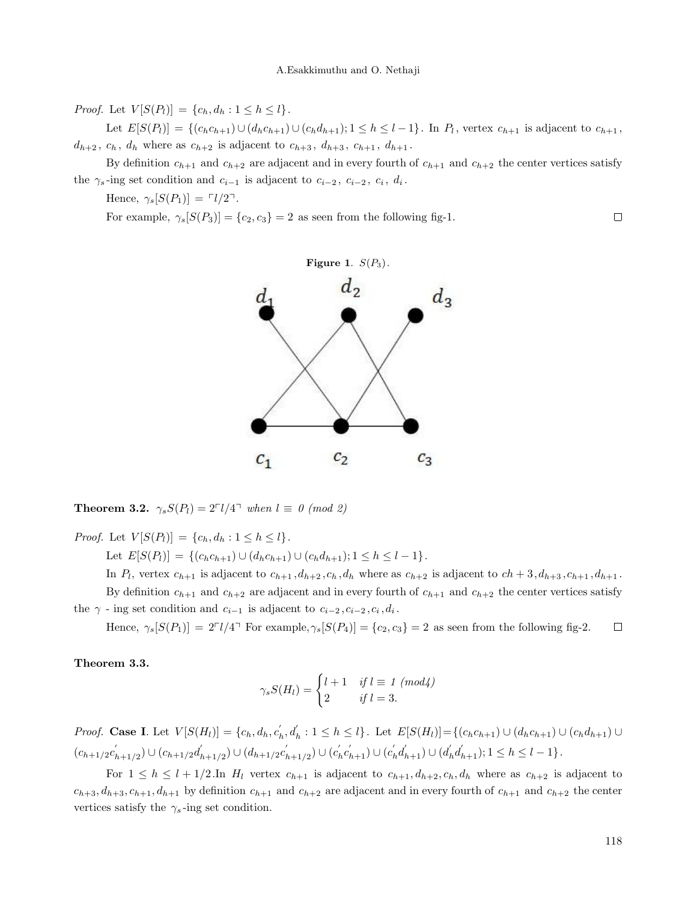*Proof.* Let  $V[S(P_l)] = \{c_h, d_h : 1 \le h \le l\}.$ 

Let  $E[S(P_l)] = \{(c_h c_{h+1}) \cup (d_h c_{h+1}) \cup (c_h d_{h+1}); 1 \leq h \leq l-1\}$ . In  $P_l$ , vertex  $c_{h+1}$  is adjacent to  $c_{h+1}$ ,  $d_{h+2}, c_h, d_h$  where as  $c_{h+2}$  is adjacent to  $c_{h+3}, d_{h+3}, c_{h+1}, d_{h+1}$ .

By definition  $c_{h+1}$  and  $c_{h+2}$  are adjacent and in every fourth of  $c_{h+1}$  and  $c_{h+2}$  the center vertices satisfy the  $\gamma_s$ -ing set condition and  $c_{i-1}$  is adjacent to  $c_{i-2}, c_{i-2}, c_i, d_i$ .

Hence,  $\gamma_s[S(P_1)] = \lceil l/2 \rceil$ .

For example,  $\gamma_s[S(P_3)] = \{c_2, c_3\} = 2$  as seen from the following fig-1.







**Theorem 3.2.**  $\gamma_s S(P_l) = 2^{\lceil l/4 \rceil}$  when  $l \equiv 0 \pmod{2}$ 

*Proof.* Let  $V[S(P_l)] = \{c_h, d_h : 1 \le h \le l\}.$ 

Let  $E[S(P_l)] = \{(c_h c_{h+1}) \cup (d_h c_{h+1}) \cup (c_h d_{h+1}); 1 \leq h \leq l-1\}.$ 

In  $P_l$ , vertex  $c_{h+1}$  is adjacent to  $c_{h+1}, d_{h+2}, c_h, d_h$  where as  $c_{h+2}$  is adjacent to  $ch+3, d_{h+3}, c_{h+1}, d_{h+1}$ . By definition  $c_{h+1}$  and  $c_{h+2}$  are adjacent and in every fourth of  $c_{h+1}$  and  $c_{h+2}$  the center vertices satisfy the  $\gamma$  - ing set condition and  $c_{i-1}$  is adjacent to  $c_{i-2}, c_{i-2}, c_i, d_i$ .

Hence,  $\gamma_s[S(P_1)] = 2^{-1/4}$  For example,  $\gamma_s[S(P_4)] = \{c_2, c_3\} = 2$  as seen from the following fig-2.  $\Box$ 

Theorem 3.3.

$$
\gamma_s S(H_l) = \begin{cases} l+1 & \text{if } l \equiv 1 \ (mod 4) \\ 2 & \text{if } l = 3. \end{cases}
$$

*Proof.* Case I. Let  $V[S(H_l)] = \{c_h, d_h, c'_h, d'_h : 1 \leq h \leq l\}$ . Let  $E[S(H_l)] = \{(c_h c_{h+1}) \cup (d_h c_{h+1}) \cup (c_h d_{h+1}) \cup (d_h c_{h+1}) \cup (d_h c_{h+1}) \cup (d_h c_{h+1}) \cup (d_h c_{h+1}) \cup (d_h c_{h+1}) \cup (d_h c_{h+1}) \cup (d_h c_{h+1}) \cup (d_h c_{h+1}) \cup (d_h c_{h+1}) \cup (d_h c_{h+1}) \cup (d_h c_{h+$  $(c_{h+1/2}c'_h)$  $\binom{k}{h+1/2} \cup (c_{h+1/2}d'_h)$  $\binom{m}{h+1/2} \cup (d_{h+1/2}c'_h)$  $\lambda_{h+1/2}^{'}\rangle \cup (c_h^{'}c_{h+1}^{'}) \cup (c_h^{'}d_{h+1}^{'}) \cup (d_h^{'}d_{h+1}^{'}); 1 \leq h \leq l-1 \}$ .

For  $1 \le h \le l + 1/2$ . In  $H_l$  vertex  $c_{h+1}$  is adjacent to  $c_{h+1}, d_{h+2}, c_h, d_h$  where as  $c_{h+2}$  is adjacent to  $c_{h+3}, d_{h+3}, c_{h+1}, d_{h+1}$  by definition  $c_{h+1}$  and  $c_{h+2}$  are adjacent and in every fourth of  $c_{h+1}$  and  $c_{h+2}$  the center vertices satisfy the  $\gamma_s$ -ing set condition.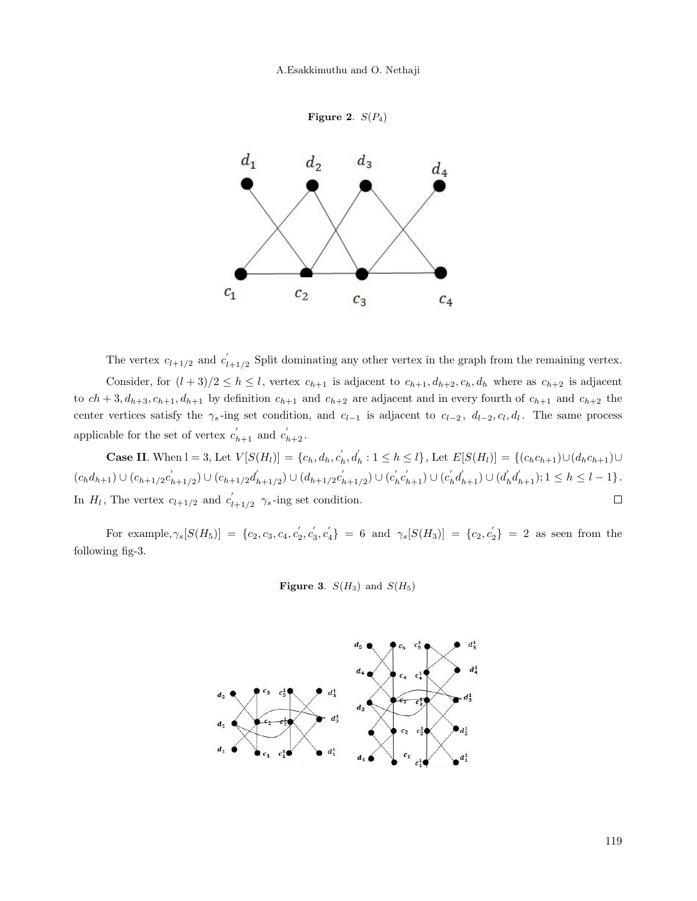A.Esakkimuthu and O. Nethaji

```
Figure 2. S(P_4)
```


The vertex  $c_{l+1/2}$  and  $c_l$  $l_{l+1/2}$  Split dominating any other vertex in the graph from the remaining vertex.

Consider, for  $(l+3)/2 \leq h \leq l$ , vertex  $c_{h+1}$  is adjacent to  $c_{h+1}, d_{h+2}, c_h, d_h$  where as  $c_{h+2}$  is adjacent to  $ch + 3$ ,  $d_{h+3}$ ,  $c_{h+1}$ ,  $d_{h+1}$  by definition  $c_{h+1}$  and  $c_{h+2}$  are adjacent and in every fourth of  $c_{h+1}$  and  $c_{h+2}$  the center vertices satisfy the  $\gamma_s$ -ing set condition, and  $c_{l-1}$  is adjacent to  $c_{l-2}$ ,  $d_{l-2}, c_l, d_l$ . The same process applicable for the set of vertex  $c'_{h+1}$  and  $c'_{h+2}$ .

**Case II.** When  $l = 3$ , Let  $V[S(H_l)] = \{c_h, d_h, c'_h, d'_h : 1 \leq h \leq l\}$ , Let  $E[S(H_l)] = \{(c_h c_{h+1}) \cup (d_h c_{h+1}) \cup (d_h c_{h+1}) \cup (d_h c_{h+1}) \cup (d_h c_{h+1}) \cup (d_h c_{h+1}) \cup (d_h c_{h+1}) \cup (d_h c_{h+1}) \cup (d_h c_{h+1}) \cup (d_h c_{h+1}) \cup (d_h c_{h+1}) \cup (d_h c_{h+1}) \cup (d_h c_{h+1}) \cup$  $(c_h d_{h+1}) \cup (c_{h+1/2} c'_h)$  $\binom{k}{h+1/2} \cup (c_{h+1/2}d'_h)$  $\binom{d_{h+1/2}}{\sim} \cup (d_{h+1/2}c'_h)$  $(c'_{h+1/2}) \cup (c'_{h}c'_{h+1}) \cup (c'_{h}d'_{h+1}) \cup (d'_{h}d'_{h+1}); 1 \leq h \leq l-1$ . In  $H_l$ , The vertex  $c_{l+1/2}$  and  $c_l'$  $\Box$  $l_{l+1/2}$   $\gamma_s$ -ing set condition.

For example,  $\gamma_s[S(H_5)] = \{c_2, c_3, c_4, c_2, c_3, c_4'\} = 6$  and  $\gamma_s[S(H_3)] = \{c_2, c_2'\} = 2$  as seen from the following fig-3.

Figure 3.  $S(H_3)$  and  $S(H_5)$ 

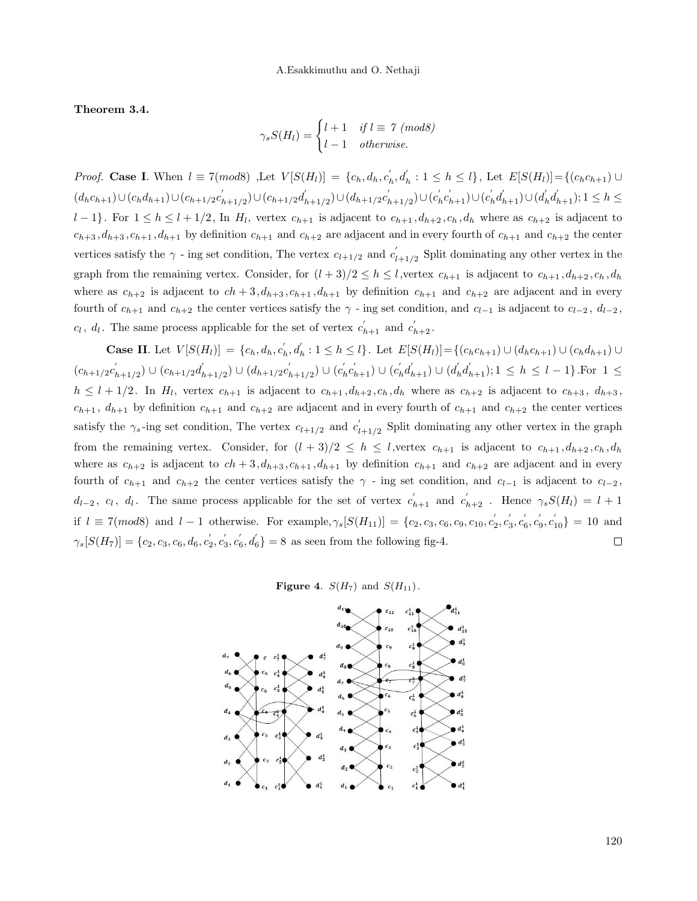Theorem 3.4.

$$
\gamma_s S(H_l) = \begin{cases} l+1 & \text{if } l \equiv 7 \ (mod 8) \\ l-1 & \text{otherwise.} \end{cases}
$$

*Proof.* Case I. When  $l \equiv 7(mod8)$  , Let  $V[S(H_l)] = \{c_h, d_h, c'_h, d'_h : 1 \leq h \leq l\}$ , Let  $E[S(H_l)] = \{(c_h c_{h+1}) \cup$  $(d_h c_{h+1}) \cup (c_h d_{h+1}) \cup (c_{h+1/2}c'_h)$  $\binom{k+1}{2} \cup (c_{h+1/2}d'_h)$  $\binom{d_{h+1/2}}{\cup (d_{h+1/2}c'_h)}$  $(a'_{h+1/2}) \cup (c'_{h}c'_{h+1}) \cup (c'_{h}d'_{h+1}) \cup (d'_{h}d'_{h+1}); 1 \leq h \leq$  $l-1$ . For  $1 \leq h \leq l+1/2$ , In  $H_l$ , vertex  $c_{h+1}$  is adjacent to  $c_{h+1}, d_{h+2}, c_h, d_h$  where as  $c_{h+2}$  is adjacent to  $c_{h+3}, d_{h+3}, c_{h+1}, d_{h+1}$  by definition  $c_{h+1}$  and  $c_{h+2}$  are adjacent and in every fourth of  $c_{h+1}$  and  $c_{h+2}$  the center vertices satisfy the  $\gamma$  - ing set condition, The vertex  $c_{l+1/2}$  and  $c_l'$  $l_{l+1/2}$  Split dominating any other vertex in the graph from the remaining vertex. Consider, for  $(l+3)/2 \leq h \leq l$ , vertex  $c_{h+1}$  is adjacent to  $c_{h+1}, d_{h+2}, c_h, d_h$ where as  $c_{h+2}$  is adjacent to  $ch + 3$ ,  $d_{h+3}$ ,  $c_{h+1}$ ,  $d_{h+1}$  by definition  $c_{h+1}$  and  $c_{h+2}$  are adjacent and in every fourth of  $c_{h+1}$  and  $c_{h+2}$  the center vertices satisfy the  $\gamma$  - ing set condition, and  $c_{l-1}$  is adjacent to  $c_{l-2}$ ,  $d_{l-2}$ ,  $c_l$ ,  $d_l$ . The same process applicable for the set of vertex  $c'_{h+1}$  and  $c'_{h+2}$ .

**Case II.** Let  $V[S(H_l)] = \{c_h, d_h, c'_h, d'_h : 1 \leq h \leq l\}$ . Let  $E[S(H_l)] = \{(c_h c_{h+1}) \cup (d_h c_{h+1}) \cup (c_h d_{h+1}) \cup (d_h c_{h+1}) \cup (d_h c_{h+1}) \cup (d_h c_{h+1}) \cup (d_h c_{h+1}) \cup (d_h c_{h+1}) \cup (d_h c_{h+1}) \cup (d_h c_{h+1}) \cup (d_h c_{h+1}) \cup (d_h c_{h+1}) \cup (d_h c_{h+1}) \cup (d_h c_{h+1}) \cup (d$  $(c_{h+1/2}c'_h)$  $\binom{k}{h+1/2} \cup (c_{h+1/2}d'_h)$  $\zeta'_{h+1/2}) \cup (d_{h+1/2}c'_h)$  $\binom{d}{k_{h+1/2}} \cup \binom{c'_h c'_{h+1}}{\cdots} \cup \binom{c'_h d'_{h+1}}{\cdots} \cup \binom{d'_h d'_{h+1}}{\cdots}$ ; 1  $\leq h \leq l-1$ . For  $1 \leq l$  $h \leq l+1/2$ . In  $H_l$ , vertex  $c_{h+1}$  is adjacent to  $c_{h+1}, d_{h+2}, c_h, d_h$  where as  $c_{h+2}$  is adjacent to  $c_{h+3}, d_{h+3}$ ,  $c_{h+1}$ ,  $d_{h+1}$  by definition  $c_{h+1}$  and  $c_{h+2}$  are adjacent and in every fourth of  $c_{h+1}$  and  $c_{h+2}$  the center vertices satisfy the  $\gamma_s$ -ing set condition, The vertex  $c_{l+1/2}$  and  $c_l$  $l_{l+1/2}$  Split dominating any other vertex in the graph from the remaining vertex. Consider, for  $(l+3)/2 \leq h \leq l$ , vertex  $c_{h+1}$  is adjacent to  $c_{h+1}, d_{h+2}, c_h, d_h$ where as  $c_{h+2}$  is adjacent to  $ch + 3$ ,  $d_{h+3}$ ,  $c_{h+1}$ ,  $d_{h+1}$  by definition  $c_{h+1}$  and  $c_{h+2}$  are adjacent and in every fourth of  $c_{h+1}$  and  $c_{h+2}$  the center vertices satisfy the  $\gamma$  - ing set condition, and  $c_{l-1}$  is adjacent to  $c_{l-2}$ ,  $d_{l-2}, c_l, d_l$ . The same process applicable for the set of vertex  $c'_{h+1}$  and  $c'_{h+2}$ . Hence  $\gamma_s S(H_l) = l + 1$ if  $l \equiv 7(mod8)$  and  $l-1$  otherwise. For example,  $\gamma_s[S(H_{11})] = \{c_2, c_3, c_6, c_9, c_{10}, c_2', c_3', c_6', c_{10}'\} = 10$  and  $\gamma_s[S(H_7)] = \{c_2, c_3, c_6, d_6, c_2', c_3', c_6', d_6'\} = 8$  as seen from the following fig-4.  $\Box$ 

Figure 4.  $S(H_7)$  and  $S(H_{11})$ .

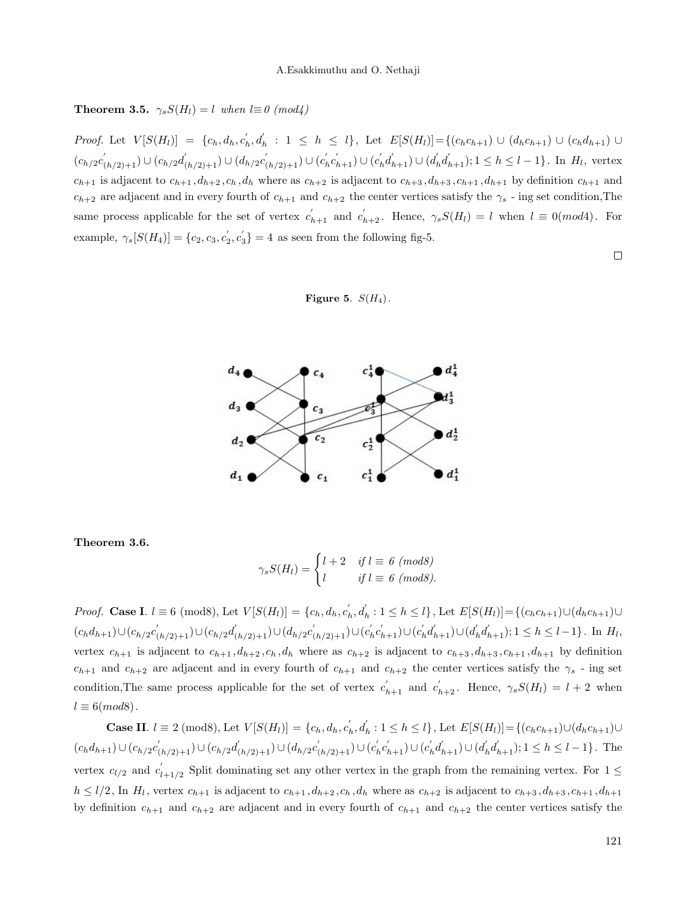**Theorem 3.5.**  $\gamma_s S(H_l) = l$  when  $l \equiv 0 \pmod{4}$ 

Proof. Let  $V[S(H_l)] = \{c_h, d_h, c'_h, d'_h : 1 \leq h \leq l\}$ , Let  $E[S(H_l)] = \{(c_h c_{h+1}) \cup (d_h c_{h+1}) \cup (c_h d_{h+1}) \cup (d_h c_h d_h)\}$  $(c_{h/2}c'_{(h/2)+1}) \cup (c_{h/2}d'_{(h/2)+1}) \cup (d_{h/2}c'_{(h/2)+1}) \cup (c'_{h}c'_{h+1}) \cup (c'_{h}d'_{h+1}) \cup (d'_{h}d'_{h+1}); 1 \leq h \leq l-1$ . In  $H_l$ , vertex  $c_{h+1}$  is adjacent to  $c_{h+1}, d_{h+2}, c_h, d_h$  where as  $c_{h+2}$  is adjacent to  $c_{h+3}, d_{h+3}, c_{h+1}, d_{h+1}$  by definition  $c_{h+1}$  and  $c_{h+2}$  are adjacent and in every fourth of  $c_{h+1}$  and  $c_{h+2}$  the center vertices satisfy the  $\gamma_s$  - ing set condition, The same process applicable for the set of vertex  $c'_{h+1}$  and  $c'_{h+2}$ . Hence,  $\gamma_s S(H_l) = l$  when  $l \equiv 0 (mod 4)$ . For example,  $\gamma_s[S(H_4)] = \{c_2, c_3, c_2, c_3'\} = 4$  as seen from the following fig-5.

 $\Box$ 





Theorem 3.6.

$$
\gamma_s S(H_l) = \begin{cases} l+2 & \text{if } l \equiv 6 \ (mod 8) \\ l & \text{if } l \equiv 6 \ (mod 8). \end{cases}
$$

*Proof.* Case I.  $l \equiv 6 \pmod{8}$ , Let  $V[S(H_l)] = \{c_h, d_h, c_h, d_h : 1 \le h \le l\}$ , Let  $E[S(H_l)] = \{(c_h c_{h+1}) \cup (d_h c_{h+1}) \cup (d_h c_{h+1}) \cup (d_h c_{h+1}) \cup (d_h c_{h+1}) \cup (d_h c_{h+1}) \cup (d_h c_{h+1}) \cup (d_h c_{h+1}) \cup (d_h c_{h+1}) \cup (d_h c_{h+1}) \cup (d_h c_{h+1}) \cup (d_h c_{h+1}) \cup (d_h c_{h+$  $(c_h d_{h+1}) \cup (c_{h/2}c'_{(h/2)+1}) \cup (c_{h/2}d'_{(h/2)+1}) \cup (d_{h/2}c'_{(h/2)+1}) \cup (c'_{h}c'_{h+1}) \cup (c'_{h}d'_{h+1})$ ;  $1 \leq h \leq l-1$ }. In  $H_l$ , vertex  $c_{h+1}$  is adjacent to  $c_{h+1}, d_{h+2}, c_h, d_h$  where as  $c_{h+2}$  is adjacent to  $c_{h+3}, d_{h+3}, c_{h+1}, d_{h+1}$  by definition  $c_{h+1}$  and  $c_{h+2}$  are adjacent and in every fourth of  $c_{h+1}$  and  $c_{h+2}$  the center vertices satisfy the  $\gamma_s$  - ing set condition, The same process applicable for the set of vertex  $c'_{h+1}$  and  $c'_{h+2}$ . Hence,  $\gamma_s S(H_l) = l + 2$  when  $l \equiv 6 (mod 8)$ .

**Case II.**  $l \equiv 2 \pmod{8}$ , Let  $V[S(H_l)] = \{c_h, d_h, c'_h, d'_h : 1 \le h \le l\}$ , Let  $E[S(H_l)] = \{(c_h c_{h+1}) \cup (d_h c_{h+1}) \cup (d_h c_{h+1}) \cup (d_h c_{h+1}) \cup (d_h c_{h+1}) \cup (d_h c_{h+1}) \cup (d_h c_{h+1}) \cup (d_h c_{h+1}) \cup (d_h c_{h+1}) \cup (d_h c_{h+1}) \cup (d_h c_{h+1}) \cup (d_h c_{h+1}) \cup (d_h c_{h+1}) \cup$  $(c_h d_{h+1}) \cup (c_{h/2}c'_{(h/2)+1}) \cup (c_{h/2}d'_{(h/2)+1}) \cup (d_{h/2}c'_{(h/2)+1}) \cup (c'_{h}c'_{h+1}) \cup (c'_{h}d'_{h+1}); 1 \leq h \leq l-1$ . The vertex  $c_{l/2}$  and  $c_l$ <sup>'</sup>  $\int_{l+1/2}^{l}$  Split dominating set any other vertex in the graph from the remaining vertex. For  $1 \leq$  $h \leq l/2$ , In  $H_l$ , vertex  $c_{h+1}$  is adjacent to  $c_{h+1}, d_{h+2}, c_h, d_h$  where as  $c_{h+2}$  is adjacent to  $c_{h+3}, d_{h+3}, c_{h+1}, d_{h+1}$ by definition  $c_{h+1}$  and  $c_{h+2}$  are adjacent and in every fourth of  $c_{h+1}$  and  $c_{h+2}$  the center vertices satisfy the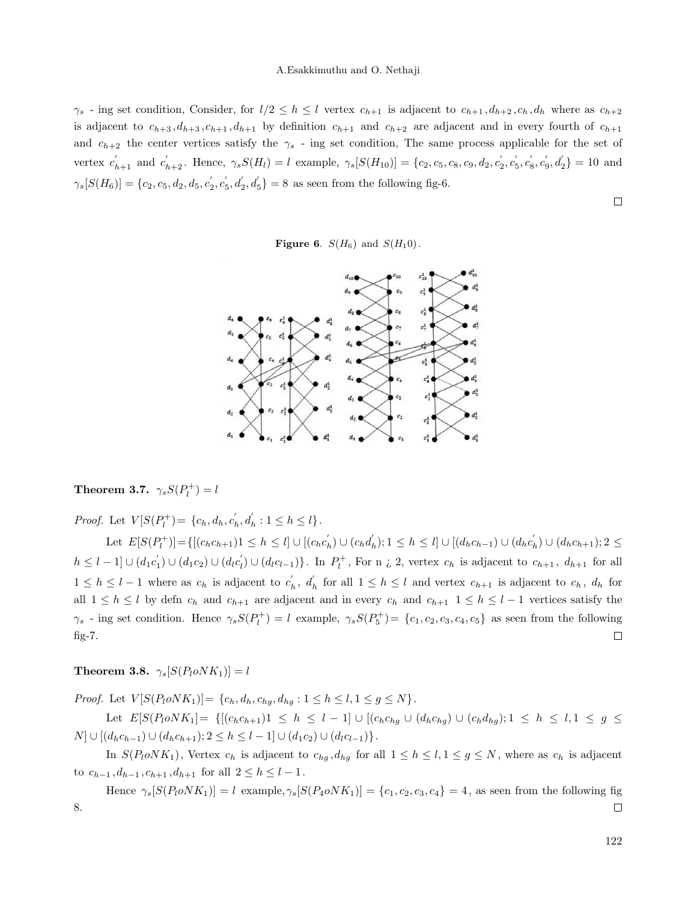#### A.Esakkimuthu and O. Nethaji

 $\gamma_s$  - ing set condition, Consider, for  $l/2 \leq h \leq l$  vertex  $c_{h+1}$  is adjacent to  $c_{h+1}, d_{h+2}, c_h, d_h$  where as  $c_{h+2}$ is adjacent to  $c_{h+3}, d_{h+3}, c_{h+1}, d_{h+1}$  by definition  $c_{h+1}$  and  $c_{h+2}$  are adjacent and in every fourth of  $c_{h+1}$ and  $c_{h+2}$  the center vertices satisfy the  $\gamma_s$  - ing set condition, The same process applicable for the set of vertex  $c_{h+1}'$  and  $c_{h+2}'$ . Hence,  $\gamma_s S(H_l) = l$  example,  $\gamma_s [S(H_{10})] = \{c_2, c_5, c_8, c_9, d_2, c_2', c_5', c_8', c_9', d_2'\} = 10$  and  $\gamma_s[S(H_6)] = \{c_2, c_5, d_2, d_5, c_2^{'}, c_5^{'}, d_2^{'}, d_5^{'}\} = 8$  as seen from the following fig-6.

Figure 6.  $S(H_6)$  and  $S(H_10)$ .



# **Theorem 3.7.**  $\gamma_s S(P_l^+) = l$

*Proof.* Let  $V[S(P_l^+] = \{c_h, d_h, c_h, d_h': 1 \le h \le l\}.$ 

Let  $E[S(P_l^+)] = \{[(c_h c_{h+1}) \le h \le l] \cup [(c_h c'_h) \cup (c_h d'_h); 1 \le h \le l] \cup [(d_h c_{h-1}) \cup (d_h c'_h) \cup (d_h c_{h+1}); 2 \le h \le l] \}$  $h \leq l-1 \cup (d_1c'_1) \cup (d_1c_2) \cup (d_lc'_l) \cup (d_lc_{l-1})\}$ . In  $P_l^+$ , For n *i*, 2, vertex  $c_h$  is adjacent to  $c_{h+1}$ ,  $d_{h+1}$  for all  $1 \leq h \leq l-1$  where as  $c_h$  is adjacent to  $c'_h$ ,  $d'_h$  for all  $1 \leq h \leq l$  and vertex  $c_{h+1}$  is adjacent to  $c_h$ ,  $d_h$  for all  $1 \leq h \leq l$  by defin  $c_h$  and  $c_{h+1}$  are adjacent and in every  $c_h$  and  $c_{h+1}$   $1 \leq h \leq l-1$  vertices satisfy the  $\gamma_s$  - ing set condition. Hence  $\gamma_s S(P_l^+) = l$  example,  $\gamma_s S(P_5^+) = \{c_1, c_2, c_3, c_4, c_5\}$  as seen from the following fig-7.  $\Box$ 

**Theorem 3.8.**  $\gamma_s[S(P_l o N K_1)] = l$ 

*Proof.* Let  $V[S(P_l o NK_1)] = \{c_h, d_h, c_{hq}, d_{hq} : 1 \le h \le l, 1 \le g \le N\}.$ 

Let  $E[S(P_l o NK_1] = \{[(c_h c_{h+1})1 \leq h \leq l-1] \cup [(c_h c_{hg} \cup (d_h c_{hg}) \cup (c_h d_{hg}); 1 \leq h \leq l, 1 \leq g \leq l\})]$  $N$ ] ∪ [(d<sub>h</sub>c<sub>h-1</sub>) ∪ (d<sub>h</sub>c<sub>h+1</sub>); 2 ≤ h ≤ l − 1] ∪ (d<sub>1</sub>c<sub>2</sub>) ∪ (d<sub>l</sub>c<sub>l-1</sub>)}.

In  $S(P_l o NK_1)$ , Vertex  $c_h$  is adjacent to  $c_{hg}$ ,  $d_{hg}$  for all  $1 \leq h \leq l, 1 \leq g \leq N$ , where as  $c_h$  is adjacent to  $c_{h-1}, d_{h-1}, c_{h+1}, d_{h+1}$  for all  $2 \leq h \leq l-1$ .

Hence  $\gamma_s[S(P_1 \cdot \cdot \cdot \cdot K_1)] = l$  example,  $\gamma_s[S(P_4 \cdot \cdot \cdot \cdot K_1)] = \{c_1, c_2, c_3, c_4\} = 4$ , as seen from the following fig 8.  $\Box$ 

 $\Box$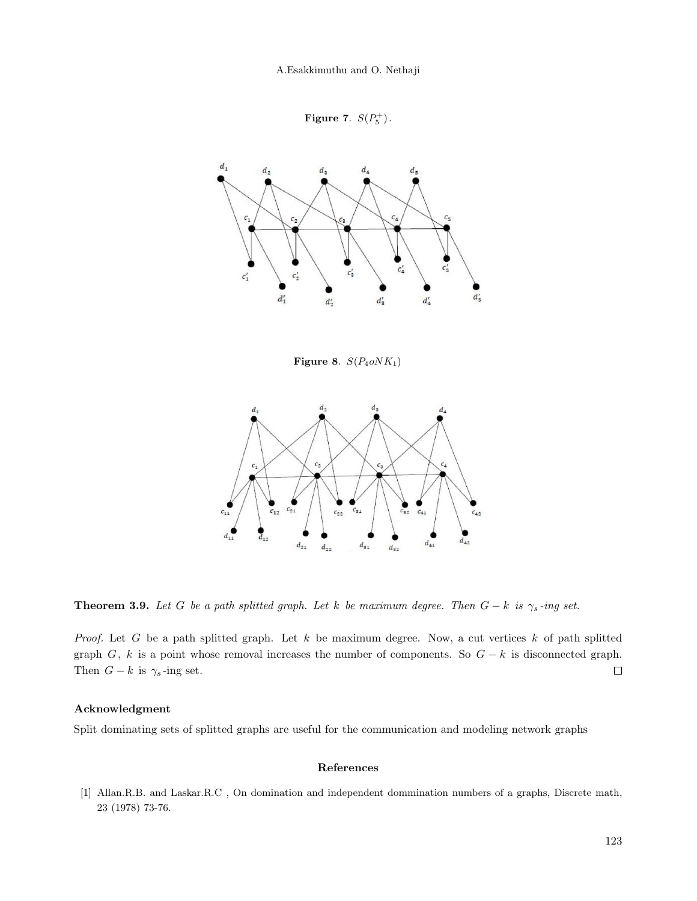A.Esakkimuthu and O. Nethaji

Figure 7.  $S(P_5^+)$ .



Figure 8.  $S(P_4 o N K_1)$ 



**Theorem 3.9.** Let G be a path splitted graph. Let k be maximum degree. Then  $G - k$  is  $\gamma_s$ -ing set.

Proof. Let G be a path splitted graph. Let  $k$  be maximum degree. Now, a cut vertices  $k$  of path splitted graph G, k is a point whose removal increases the number of components. So  $G - k$  is disconnected graph. Then  $G - k$  is  $\gamma_s$ -ing set.  $\Box$ 

### Acknowledgment

Split dominating sets of splitted graphs are useful for the communication and modeling network graphs

#### References

<span id="page-6-0"></span>[1] Allan.R.B. and Laskar.R.C , On domination and independent dommination numbers of a graphs, Discrete math, 23 (1978) 73-76.